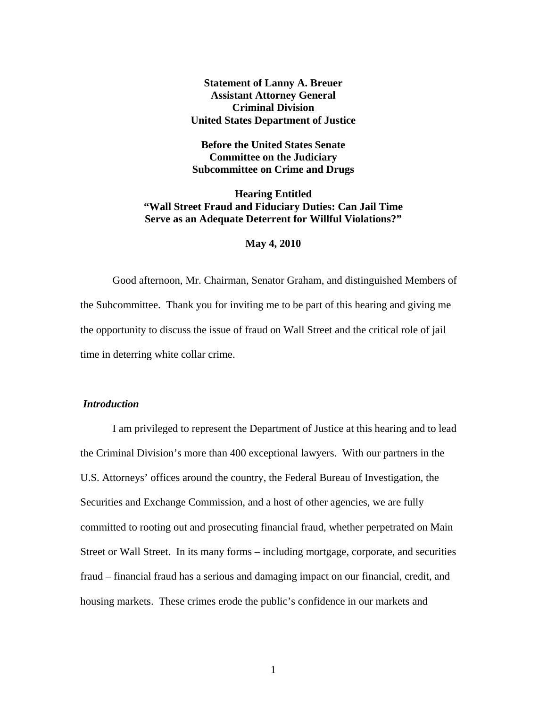# **Statement of Lanny A. Breuer Assistant Attorney General Criminal Division United States Department of Justice**

**Before the United States Senate Committee on the Judiciary Subcommittee on Crime and Drugs** 

**Hearing Entitled "Wall Street Fraud and Fiduciary Duties: Can Jail Time Serve as an Adequate Deterrent for Willful Violations?"** 

### **May 4, 2010**

Good afternoon, Mr. Chairman, Senator Graham, and distinguished Members of the Subcommittee. Thank you for inviting me to be part of this hearing and giving me the opportunity to discuss the issue of fraud on Wall Street and the critical role of jail time in deterring white collar crime.

# *Introduction*

I am privileged to represent the Department of Justice at this hearing and to lead the Criminal Division's more than 400 exceptional lawyers. With our partners in the U.S. Attorneys' offices around the country, the Federal Bureau of Investigation, the Securities and Exchange Commission, and a host of other agencies, we are fully committed to rooting out and prosecuting financial fraud, whether perpetrated on Main Street or Wall Street. In its many forms – including mortgage, corporate, and securities fraud – financial fraud has a serious and damaging impact on our financial, credit, and housing markets. These crimes erode the public's confidence in our markets and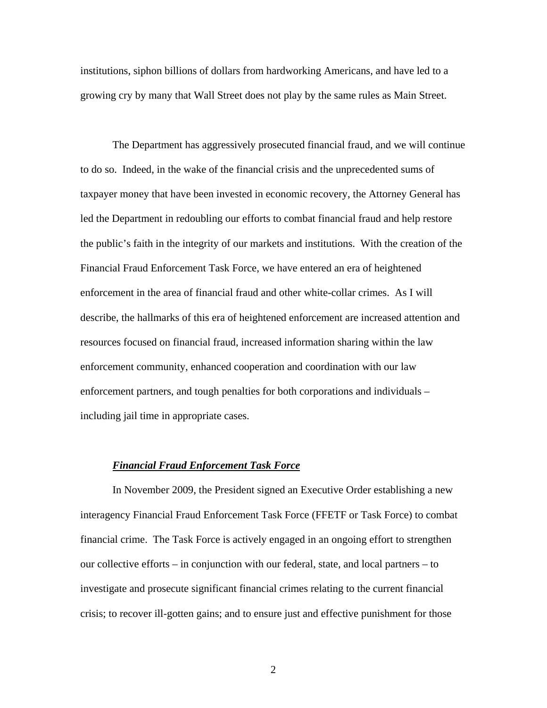institutions, siphon billions of dollars from hardworking Americans, and have led to a growing cry by many that Wall Street does not play by the same rules as Main Street.

The Department has aggressively prosecuted financial fraud, and we will continue to do so. Indeed, in the wake of the financial crisis and the unprecedented sums of taxpayer money that have been invested in economic recovery, the Attorney General has led the Department in redoubling our efforts to combat financial fraud and help restore the public's faith in the integrity of our markets and institutions. With the creation of the Financial Fraud Enforcement Task Force, we have entered an era of heightened enforcement in the area of financial fraud and other white-collar crimes. As I will describe, the hallmarks of this era of heightened enforcement are increased attention and resources focused on financial fraud, increased information sharing within the law enforcement community, enhanced cooperation and coordination with our law enforcement partners, and tough penalties for both corporations and individuals – including jail time in appropriate cases.

# *Financial Fraud Enforcement Task Force*

In November 2009, the President signed an Executive Order establishing a new interagency Financial Fraud Enforcement Task Force (FFETF or Task Force) to combat financial crime. The Task Force is actively engaged in an ongoing effort to strengthen our collective efforts – in conjunction with our federal, state, and local partners – to investigate and prosecute significant financial crimes relating to the current financial crisis; to recover ill-gotten gains; and to ensure just and effective punishment for those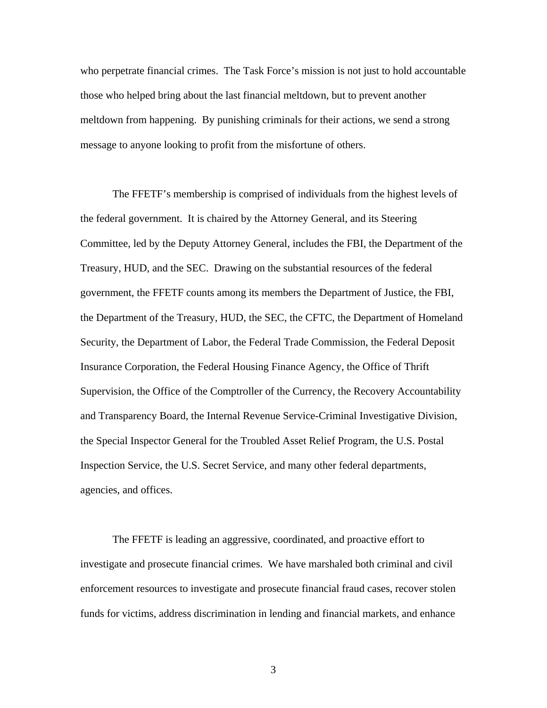who perpetrate financial crimes. The Task Force's mission is not just to hold accountable those who helped bring about the last financial meltdown, but to prevent another meltdown from happening. By punishing criminals for their actions, we send a strong message to anyone looking to profit from the misfortune of others.

The FFETF's membership is comprised of individuals from the highest levels of the federal government. It is chaired by the Attorney General, and its Steering Committee, led by the Deputy Attorney General, includes the FBI, the Department of the Treasury, HUD, and the SEC. Drawing on the substantial resources of the federal government, the FFETF counts among its members the Department of Justice, the FBI, the Department of the Treasury, HUD, the SEC, the CFTC, the Department of Homeland Security, the Department of Labor, the Federal Trade Commission, the Federal Deposit Insurance Corporation, the Federal Housing Finance Agency, the Office of Thrift Supervision, the Office of the Comptroller of the Currency, the Recovery Accountability and Transparency Board, the Internal Revenue Service-Criminal Investigative Division, the Special Inspector General for the Troubled Asset Relief Program, the U.S. Postal Inspection Service, the U.S. Secret Service, and many other federal departments, agencies, and offices.

The FFETF is leading an aggressive, coordinated, and proactive effort to investigate and prosecute financial crimes. We have marshaled both criminal and civil enforcement resources to investigate and prosecute financial fraud cases, recover stolen funds for victims, address discrimination in lending and financial markets, and enhance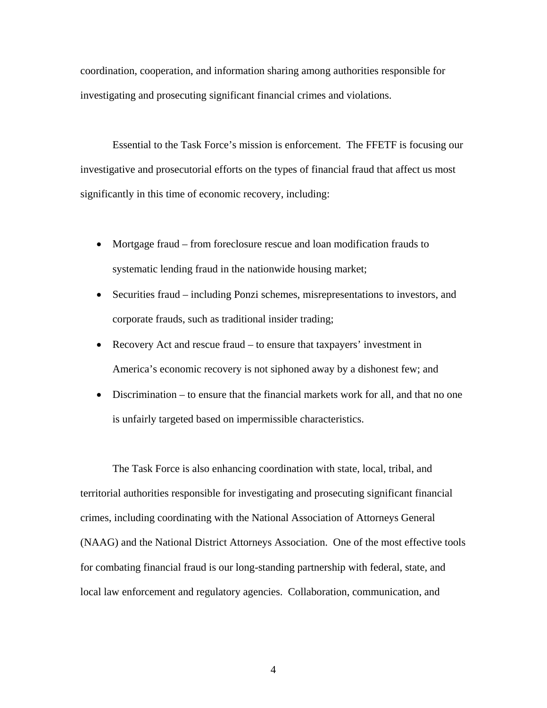coordination, cooperation, and information sharing among authorities responsible for investigating and prosecuting significant financial crimes and violations.

Essential to the Task Force's mission is enforcement. The FFETF is focusing our investigative and prosecutorial efforts on the types of financial fraud that affect us most significantly in this time of economic recovery, including:

- Mortgage fraud from foreclosure rescue and loan modification frauds to systematic lending fraud in the nationwide housing market;
- Securities fraud including Ponzi schemes, misrepresentations to investors, and corporate frauds, such as traditional insider trading;
- Recovery Act and rescue fraud to ensure that taxpayers' investment in America's economic recovery is not siphoned away by a dishonest few; and
- Discrimination to ensure that the financial markets work for all, and that no one is unfairly targeted based on impermissible characteristics.

The Task Force is also enhancing coordination with state, local, tribal, and territorial authorities responsible for investigating and prosecuting significant financial crimes, including coordinating with the National Association of Attorneys General (NAAG) and the National District Attorneys Association. One of the most effective tools for combating financial fraud is our long-standing partnership with federal, state, and local law enforcement and regulatory agencies. Collaboration, communication, and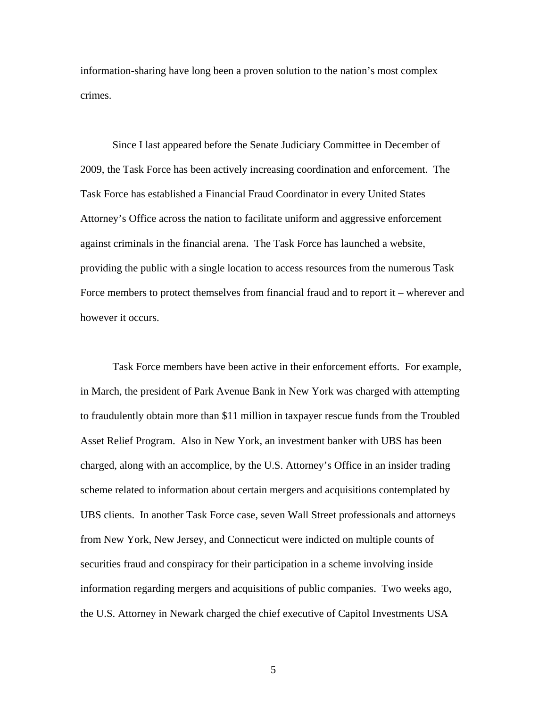information-sharing have long been a proven solution to the nation's most complex crimes.

Since I last appeared before the Senate Judiciary Committee in December of 2009, the Task Force has been actively increasing coordination and enforcement. The Task Force has established a Financial Fraud Coordinator in every United States Attorney's Office across the nation to facilitate uniform and aggressive enforcement against criminals in the financial arena. The Task Force has launched a website, providing the public with a single location to access resources from the numerous Task Force members to protect themselves from financial fraud and to report it – wherever and however it occurs.

Task Force members have been active in their enforcement efforts. For example, in March, the president of Park Avenue Bank in New York was charged with attempting to fraudulently obtain more than \$11 million in taxpayer rescue funds from the Troubled Asset Relief Program. Also in New York, an investment banker with UBS has been charged, along with an accomplice, by the U.S. Attorney's Office in an insider trading scheme related to information about certain mergers and acquisitions contemplated by UBS clients. In another Task Force case, seven Wall Street professionals and attorneys from New York, New Jersey, and Connecticut were indicted on multiple counts of securities fraud and conspiracy for their participation in a scheme involving inside information regarding mergers and acquisitions of public companies. Two weeks ago, the U.S. Attorney in Newark charged the chief executive of Capitol Investments USA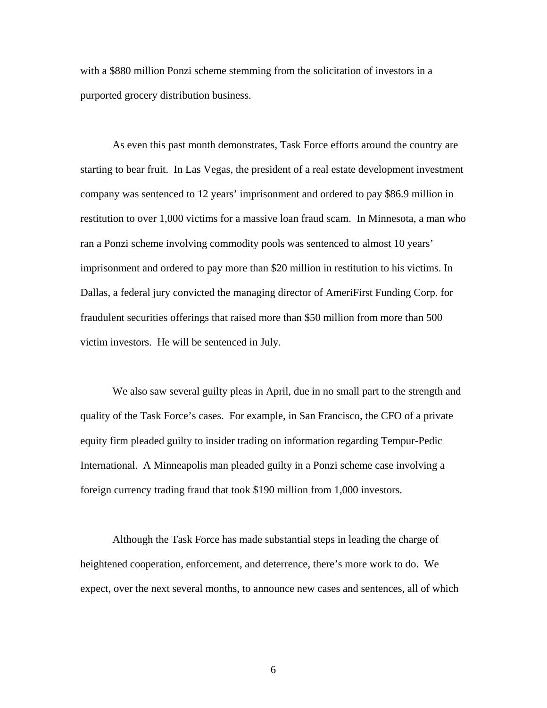with a \$880 million Ponzi scheme stemming from the solicitation of investors in a purported grocery distribution business.

As even this past month demonstrates, Task Force efforts around the country are starting to bear fruit. In Las Vegas, the president of a real estate development investment company was sentenced to 12 years' imprisonment and ordered to pay \$86.9 million in restitution to over 1,000 victims for a massive loan fraud scam. In Minnesota, a man who ran a Ponzi scheme involving commodity pools was sentenced to almost 10 years' imprisonment and ordered to pay more than \$20 million in restitution to his victims. In Dallas, a federal jury convicted the managing director of AmeriFirst Funding Corp. for fraudulent securities offerings that raised more than \$50 million from more than 500 victim investors. He will be sentenced in July.

We also saw several guilty pleas in April, due in no small part to the strength and quality of the Task Force's cases. For example, in San Francisco, the CFO of a private equity firm pleaded guilty to insider trading on information regarding Tempur-Pedic International. A Minneapolis man pleaded guilty in a Ponzi scheme case involving a foreign currency trading fraud that took \$190 million from 1,000 investors.

Although the Task Force has made substantial steps in leading the charge of heightened cooperation, enforcement, and deterrence, there's more work to do. We expect, over the next several months, to announce new cases and sentences, all of which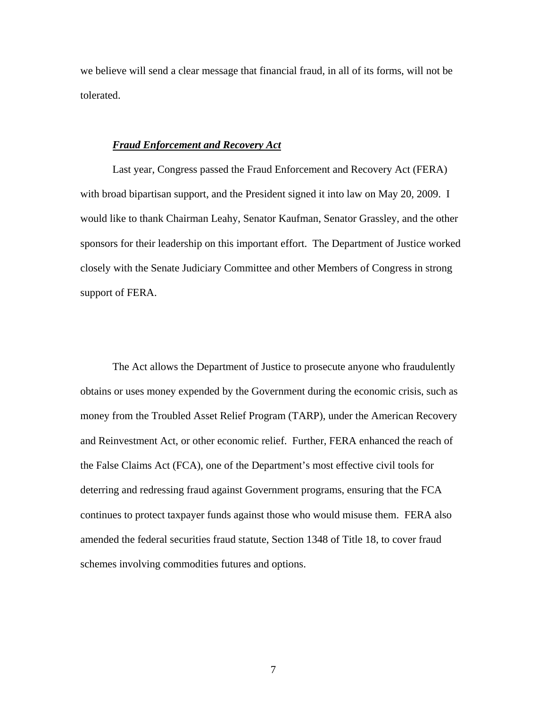we believe will send a clear message that financial fraud, in all of its forms, will not be tolerated.

#### *Fraud Enforcement and Recovery Act*

Last year, Congress passed the Fraud Enforcement and Recovery Act (FERA) with broad bipartisan support, and the President signed it into law on May 20, 2009. I would like to thank Chairman Leahy, Senator Kaufman, Senator Grassley, and the other sponsors for their leadership on this important effort. The Department of Justice worked closely with the Senate Judiciary Committee and other Members of Congress in strong support of FERA.

The Act allows the Department of Justice to prosecute anyone who fraudulently obtains or uses money expended by the Government during the economic crisis, such as money from the Troubled Asset Relief Program (TARP), under the American Recovery and Reinvestment Act, or other economic relief. Further, FERA enhanced the reach of the False Claims Act (FCA), one of the Department's most effective civil tools for deterring and redressing fraud against Government programs, ensuring that the FCA continues to protect taxpayer funds against those who would misuse them. FERA also amended the federal securities fraud statute, Section 1348 of Title 18, to cover fraud schemes involving commodities futures and options.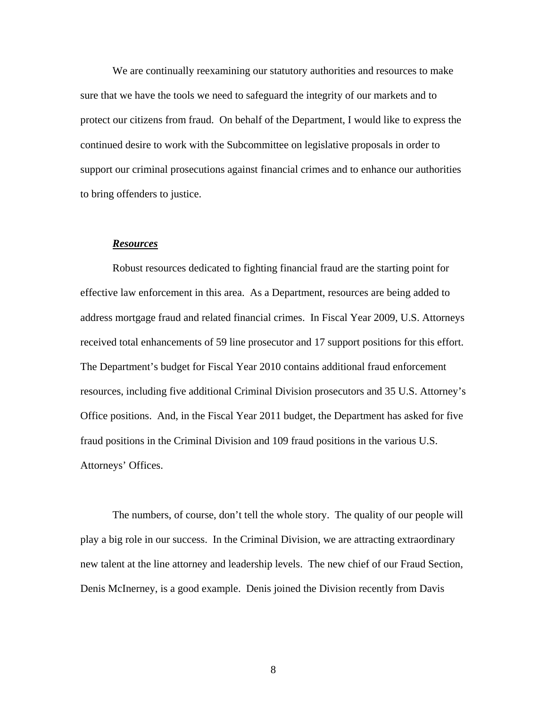We are continually reexamining our statutory authorities and resources to make sure that we have the tools we need to safeguard the integrity of our markets and to protect our citizens from fraud. On behalf of the Department, I would like to express the continued desire to work with the Subcommittee on legislative proposals in order to support our criminal prosecutions against financial crimes and to enhance our authorities to bring offenders to justice.

# *Resources*

Robust resources dedicated to fighting financial fraud are the starting point for effective law enforcement in this area. As a Department, resources are being added to address mortgage fraud and related financial crimes. In Fiscal Year 2009, U.S. Attorneys received total enhancements of 59 line prosecutor and 17 support positions for this effort. The Department's budget for Fiscal Year 2010 contains additional fraud enforcement resources, including five additional Criminal Division prosecutors and 35 U.S. Attorney's Office positions. And, in the Fiscal Year 2011 budget, the Department has asked for five fraud positions in the Criminal Division and 109 fraud positions in the various U.S. Attorneys' Offices.

The numbers, of course, don't tell the whole story. The quality of our people will play a big role in our success. In the Criminal Division, we are attracting extraordinary new talent at the line attorney and leadership levels. The new chief of our Fraud Section, Denis McInerney, is a good example. Denis joined the Division recently from Davis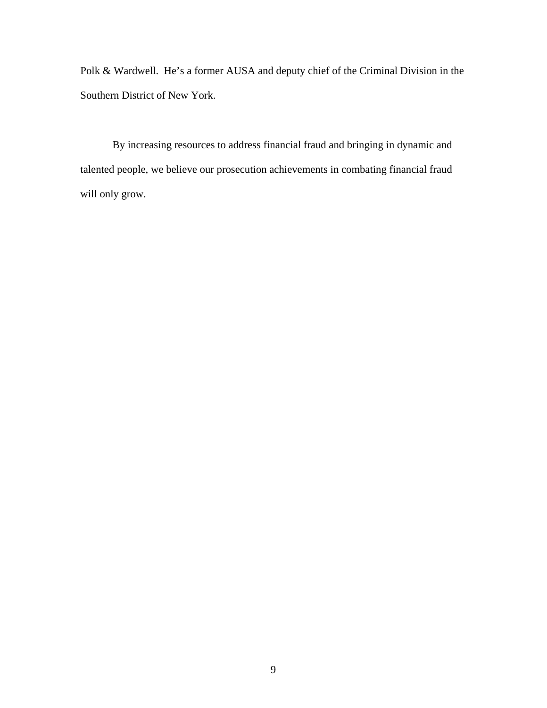Polk & Wardwell. He's a former AUSA and deputy chief of the Criminal Division in the Southern District of New York.

By increasing resources to address financial fraud and bringing in dynamic and talented people, we believe our prosecution achievements in combating financial fraud will only grow.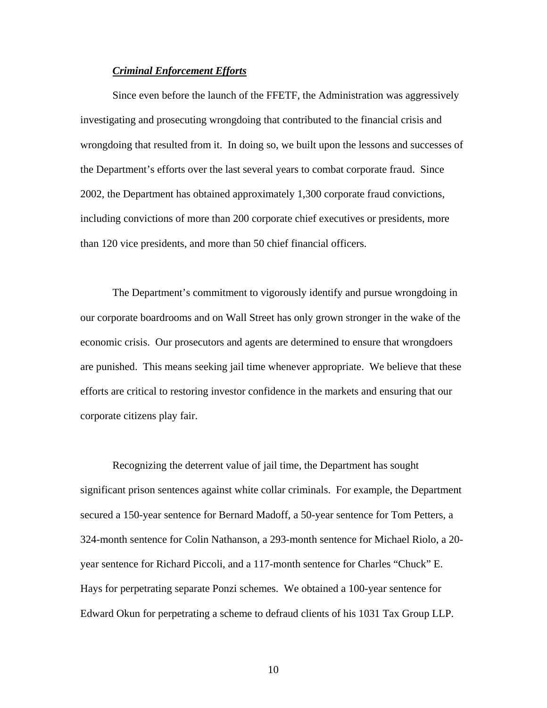#### *Criminal Enforcement Efforts*

Since even before the launch of the FFETF, the Administration was aggressively investigating and prosecuting wrongdoing that contributed to the financial crisis and wrongdoing that resulted from it. In doing so, we built upon the lessons and successes of the Department's efforts over the last several years to combat corporate fraud. Since 2002, the Department has obtained approximately 1,300 corporate fraud convictions, including convictions of more than 200 corporate chief executives or presidents, more than 120 vice presidents, and more than 50 chief financial officers.

The Department's commitment to vigorously identify and pursue wrongdoing in our corporate boardrooms and on Wall Street has only grown stronger in the wake of the economic crisis. Our prosecutors and agents are determined to ensure that wrongdoers are punished. This means seeking jail time whenever appropriate. We believe that these efforts are critical to restoring investor confidence in the markets and ensuring that our corporate citizens play fair.

Recognizing the deterrent value of jail time, the Department has sought significant prison sentences against white collar criminals. For example, the Department secured a 150-year sentence for Bernard Madoff, a 50-year sentence for Tom Petters, a 324-month sentence for Colin Nathanson, a 293-month sentence for Michael Riolo, a 20 year sentence for Richard Piccoli, and a 117-month sentence for Charles "Chuck" E. Hays for perpetrating separate Ponzi schemes. We obtained a 100-year sentence for Edward Okun for perpetrating a scheme to defraud clients of his 1031 Tax Group LLP.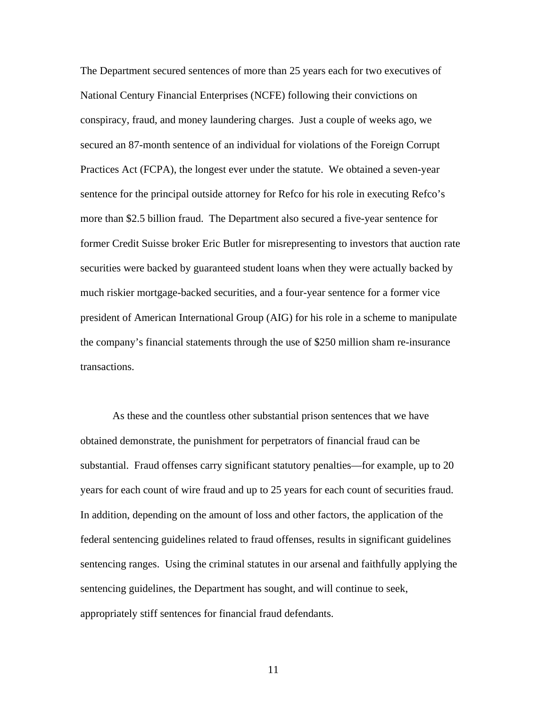The Department secured sentences of more than 25 years each for two executives of National Century Financial Enterprises (NCFE) following their convictions on conspiracy, fraud, and money laundering charges. Just a couple of weeks ago, we secured an 87-month sentence of an individual for violations of the Foreign Corrupt Practices Act (FCPA), the longest ever under the statute. We obtained a seven-year sentence for the principal outside attorney for Refco for his role in executing Refco's more than \$2.5 billion fraud. The Department also secured a five-year sentence for former Credit Suisse broker Eric Butler for misrepresenting to investors that auction rate securities were backed by guaranteed student loans when they were actually backed by much riskier mortgage-backed securities, and a four-year sentence for a former vice president of American International Group (AIG) for his role in a scheme to manipulate the company's financial statements through the use of \$250 million sham re-insurance transactions.

As these and the countless other substantial prison sentences that we have obtained demonstrate, the punishment for perpetrators of financial fraud can be substantial. Fraud offenses carry significant statutory penalties—for example, up to 20 years for each count of wire fraud and up to 25 years for each count of securities fraud. In addition, depending on the amount of loss and other factors, the application of the federal sentencing guidelines related to fraud offenses, results in significant guidelines sentencing ranges. Using the criminal statutes in our arsenal and faithfully applying the sentencing guidelines, the Department has sought, and will continue to seek, appropriately stiff sentences for financial fraud defendants.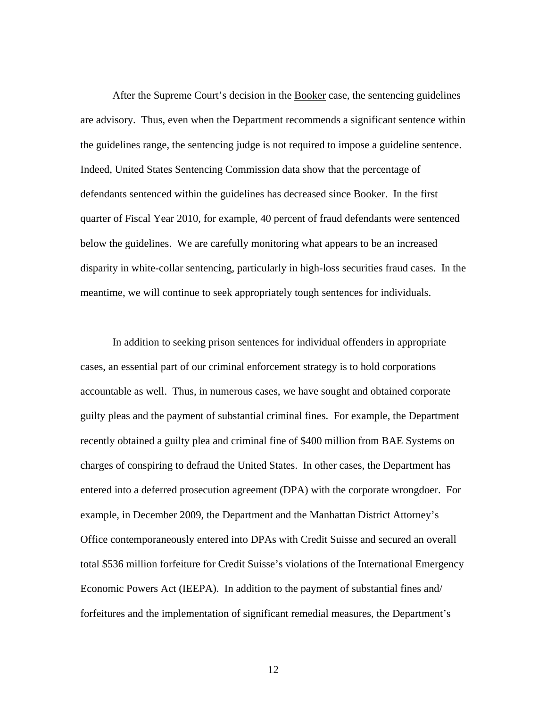After the Supreme Court's decision in the Booker case, the sentencing guidelines are advisory. Thus, even when the Department recommends a significant sentence within the guidelines range, the sentencing judge is not required to impose a guideline sentence. Indeed, United States Sentencing Commission data show that the percentage of defendants sentenced within the guidelines has decreased since Booker. In the first quarter of Fiscal Year 2010, for example, 40 percent of fraud defendants were sentenced below the guidelines. We are carefully monitoring what appears to be an increased disparity in white-collar sentencing, particularly in high-loss securities fraud cases. In the meantime, we will continue to seek appropriately tough sentences for individuals.

In addition to seeking prison sentences for individual offenders in appropriate cases, an essential part of our criminal enforcement strategy is to hold corporations accountable as well. Thus, in numerous cases, we have sought and obtained corporate guilty pleas and the payment of substantial criminal fines. For example, the Department recently obtained a guilty plea and criminal fine of \$400 million from BAE Systems on charges of conspiring to defraud the United States. In other cases, the Department has entered into a deferred prosecution agreement (DPA) with the corporate wrongdoer. For example, in December 2009, the Department and the Manhattan District Attorney's Office contemporaneously entered into DPAs with Credit Suisse and secured an overall total \$536 million forfeiture for Credit Suisse's violations of the International Emergency Economic Powers Act (IEEPA). In addition to the payment of substantial fines and/ forfeitures and the implementation of significant remedial measures, the Department's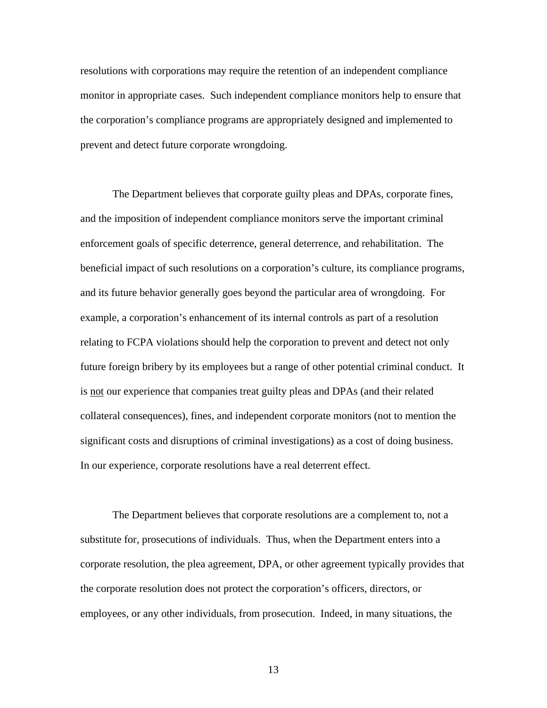resolutions with corporations may require the retention of an independent compliance monitor in appropriate cases. Such independent compliance monitors help to ensure that the corporation's compliance programs are appropriately designed and implemented to prevent and detect future corporate wrongdoing.

The Department believes that corporate guilty pleas and DPAs, corporate fines, and the imposition of independent compliance monitors serve the important criminal enforcement goals of specific deterrence, general deterrence, and rehabilitation. The beneficial impact of such resolutions on a corporation's culture, its compliance programs, and its future behavior generally goes beyond the particular area of wrongdoing. For example, a corporation's enhancement of its internal controls as part of a resolution relating to FCPA violations should help the corporation to prevent and detect not only future foreign bribery by its employees but a range of other potential criminal conduct. It is not our experience that companies treat guilty pleas and DPAs (and their related collateral consequences), fines, and independent corporate monitors (not to mention the significant costs and disruptions of criminal investigations) as a cost of doing business. In our experience, corporate resolutions have a real deterrent effect.

The Department believes that corporate resolutions are a complement to, not a substitute for, prosecutions of individuals. Thus, when the Department enters into a corporate resolution, the plea agreement, DPA, or other agreement typically provides that the corporate resolution does not protect the corporation's officers, directors, or employees, or any other individuals, from prosecution. Indeed, in many situations, the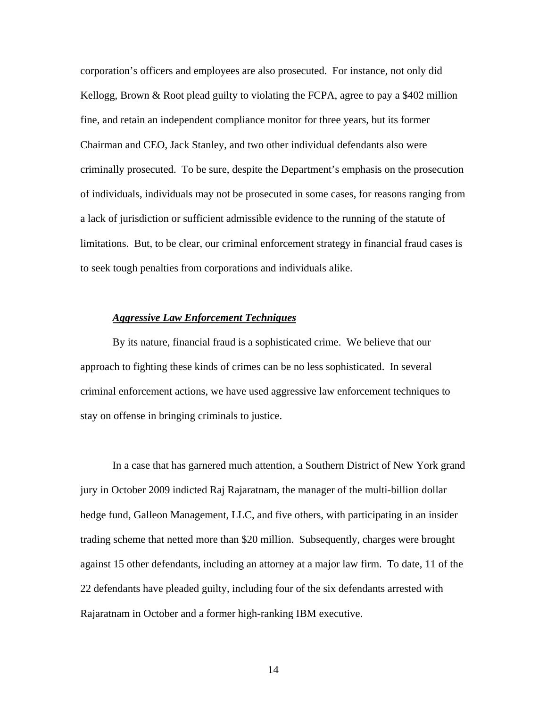corporation's officers and employees are also prosecuted. For instance, not only did Kellogg, Brown  $&$  Root plead guilty to violating the FCPA, agree to pay a \$402 million fine, and retain an independent compliance monitor for three years, but its former Chairman and CEO, Jack Stanley, and two other individual defendants also were criminally prosecuted. To be sure, despite the Department's emphasis on the prosecution of individuals, individuals may not be prosecuted in some cases, for reasons ranging from a lack of jurisdiction or sufficient admissible evidence to the running of the statute of limitations. But, to be clear, our criminal enforcement strategy in financial fraud cases is to seek tough penalties from corporations and individuals alike.

### *Aggressive Law Enforcement Techniques*

By its nature, financial fraud is a sophisticated crime. We believe that our approach to fighting these kinds of crimes can be no less sophisticated. In several criminal enforcement actions, we have used aggressive law enforcement techniques to stay on offense in bringing criminals to justice.

In a case that has garnered much attention, a Southern District of New York grand jury in October 2009 indicted Raj Rajaratnam, the manager of the multi-billion dollar hedge fund, Galleon Management, LLC, and five others, with participating in an insider trading scheme that netted more than \$20 million. Subsequently, charges were brought against 15 other defendants, including an attorney at a major law firm. To date, 11 of the 22 defendants have pleaded guilty, including four of the six defendants arrested with Rajaratnam in October and a former high-ranking IBM executive.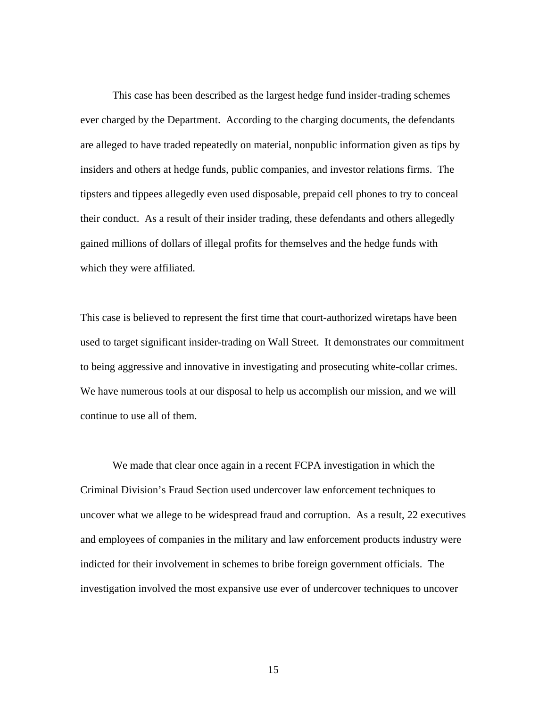This case has been described as the largest hedge fund insider-trading schemes ever charged by the Department. According to the charging documents, the defendants are alleged to have traded repeatedly on material, nonpublic information given as tips by insiders and others at hedge funds, public companies, and investor relations firms. The tipsters and tippees allegedly even used disposable, prepaid cell phones to try to conceal their conduct. As a result of their insider trading, these defendants and others allegedly gained millions of dollars of illegal profits for themselves and the hedge funds with which they were affiliated.

This case is believed to represent the first time that court-authorized wiretaps have been used to target significant insider-trading on Wall Street. It demonstrates our commitment to being aggressive and innovative in investigating and prosecuting white-collar crimes. We have numerous tools at our disposal to help us accomplish our mission, and we will continue to use all of them.

 We made that clear once again in a recent FCPA investigation in which the Criminal Division's Fraud Section used undercover law enforcement techniques to uncover what we allege to be widespread fraud and corruption. As a result, 22 executives and employees of companies in the military and law enforcement products industry were indicted for their involvement in schemes to bribe foreign government officials. The investigation involved the most expansive use ever of undercover techniques to uncover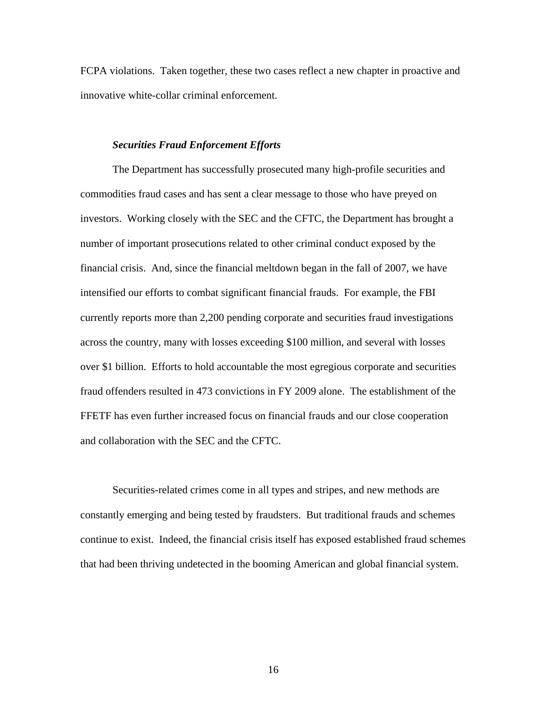FCPA violations. Taken together, these two cases reflect a new chapter in proactive and innovative white-collar criminal enforcement.

# *Securities Fraud Enforcement Efforts*

The Department has successfully prosecuted many high-profile securities and commodities fraud cases and has sent a clear message to those who have preyed on investors. Working closely with the SEC and the CFTC, the Department has brought a number of important prosecutions related to other criminal conduct exposed by the financial crisis. And, since the financial meltdown began in the fall of 2007, we have intensified our efforts to combat significant financial frauds. For example, the FBI currently reports more than 2,200 pending corporate and securities fraud investigations across the country, many with losses exceeding \$100 million, and several with losses over \$1 billion. Efforts to hold accountable the most egregious corporate and securities fraud offenders resulted in 473 convictions in FY 2009 alone. The establishment of the FFETF has even further increased focus on financial frauds and our close cooperation and collaboration with the SEC and the CFTC.

Securities-related crimes come in all types and stripes, and new methods are constantly emerging and being tested by fraudsters. But traditional frauds and schemes continue to exist. Indeed, the financial crisis itself has exposed established fraud schemes that had been thriving undetected in the booming American and global financial system.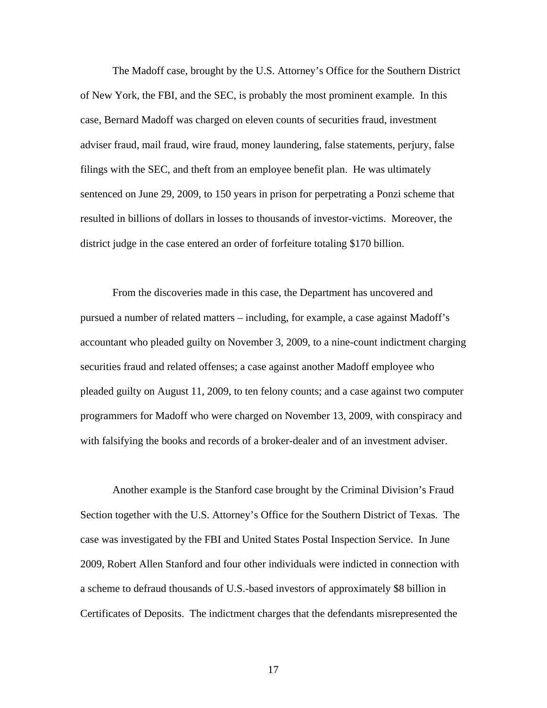The Madoff case, brought by the U.S. Attorney's Office for the Southern District of New York, the FBI, and the SEC, is probably the most prominent example. In this case, Bernard Madoff was charged on eleven counts of securities fraud, investment adviser fraud, mail fraud, wire fraud, money laundering, false statements, perjury, false filings with the SEC, and theft from an employee benefit plan. He was ultimately sentenced on June 29, 2009, to 150 years in prison for perpetrating a Ponzi scheme that resulted in billions of dollars in losses to thousands of investor-victims. Moreover, the district judge in the case entered an order of forfeiture totaling \$170 billion.

From the discoveries made in this case, the Department has uncovered and pursued a number of related matters – including, for example, a case against Madoff's accountant who pleaded guilty on November 3, 2009, to a nine-count indictment charging securities fraud and related offenses; a case against another Madoff employee who pleaded guilty on August 11, 2009, to ten felony counts; and a case against two computer programmers for Madoff who were charged on November 13, 2009, with conspiracy and with falsifying the books and records of a broker-dealer and of an investment adviser.

Another example is the Stanford case brought by the Criminal Division's Fraud Section together with the U.S. Attorney's Office for the Southern District of Texas. The case was investigated by the FBI and United States Postal Inspection Service. In June 2009, Robert Allen Stanford and four other individuals were indicted in connection with a scheme to defraud thousands of U.S.-based investors of approximately \$8 billion in Certificates of Deposits. The indictment charges that the defendants misrepresented the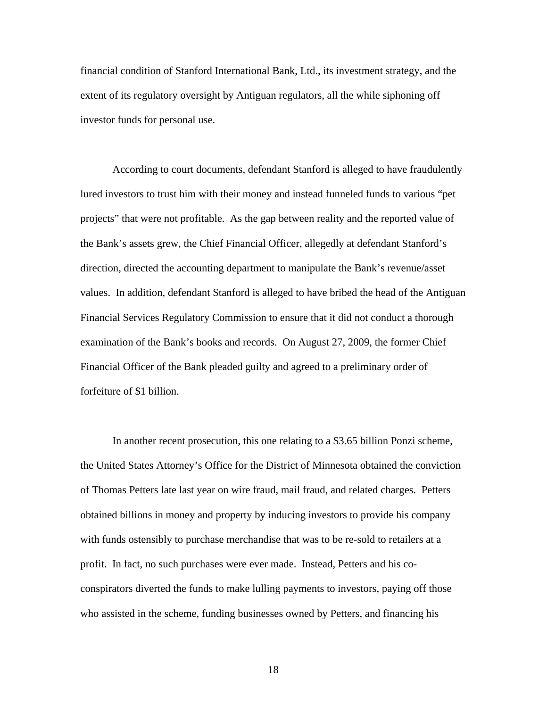financial condition of Stanford International Bank, Ltd., its investment strategy, and the extent of its regulatory oversight by Antiguan regulators, all the while siphoning off investor funds for personal use.

According to court documents, defendant Stanford is alleged to have fraudulently lured investors to trust him with their money and instead funneled funds to various "pet projects" that were not profitable. As the gap between reality and the reported value of the Bank's assets grew, the Chief Financial Officer, allegedly at defendant Stanford's direction, directed the accounting department to manipulate the Bank's revenue/asset values. In addition, defendant Stanford is alleged to have bribed the head of the Antiguan Financial Services Regulatory Commission to ensure that it did not conduct a thorough examination of the Bank's books and records. On August 27, 2009, the former Chief Financial Officer of the Bank pleaded guilty and agreed to a preliminary order of forfeiture of \$1 billion.

In another recent prosecution, this one relating to a \$3.65 billion Ponzi scheme, the United States Attorney's Office for the District of Minnesota obtained the conviction of Thomas Petters late last year on wire fraud, mail fraud, and related charges. Petters obtained billions in money and property by inducing investors to provide his company with funds ostensibly to purchase merchandise that was to be re-sold to retailers at a profit. In fact, no such purchases were ever made. Instead, Petters and his coconspirators diverted the funds to make lulling payments to investors, paying off those who assisted in the scheme, funding businesses owned by Petters, and financing his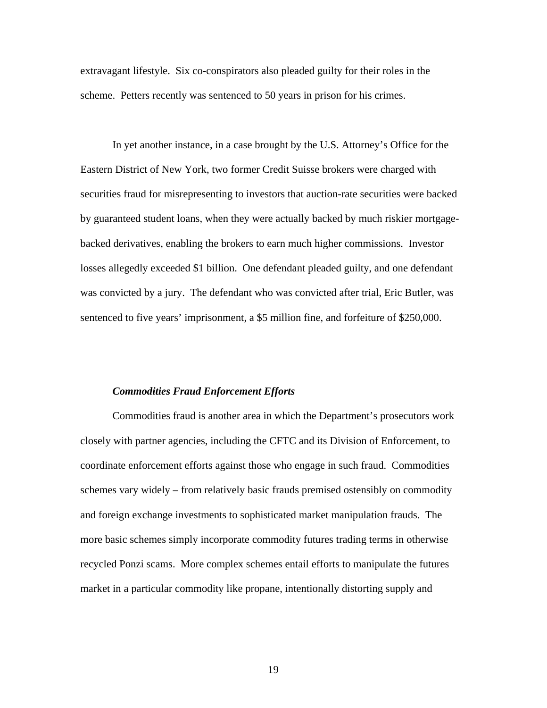extravagant lifestyle. Six co-conspirators also pleaded guilty for their roles in the scheme. Petters recently was sentenced to 50 years in prison for his crimes.

In yet another instance, in a case brought by the U.S. Attorney's Office for the Eastern District of New York, two former Credit Suisse brokers were charged with securities fraud for misrepresenting to investors that auction-rate securities were backed by guaranteed student loans, when they were actually backed by much riskier mortgagebacked derivatives, enabling the brokers to earn much higher commissions. Investor losses allegedly exceeded \$1 billion. One defendant pleaded guilty, and one defendant was convicted by a jury. The defendant who was convicted after trial, Eric Butler, was sentenced to five years' imprisonment, a \$5 million fine, and forfeiture of \$250,000.

#### *Commodities Fraud Enforcement Efforts*

Commodities fraud is another area in which the Department's prosecutors work closely with partner agencies, including the CFTC and its Division of Enforcement, to coordinate enforcement efforts against those who engage in such fraud. Commodities schemes vary widely – from relatively basic frauds premised ostensibly on commodity and foreign exchange investments to sophisticated market manipulation frauds. The more basic schemes simply incorporate commodity futures trading terms in otherwise recycled Ponzi scams. More complex schemes entail efforts to manipulate the futures market in a particular commodity like propane, intentionally distorting supply and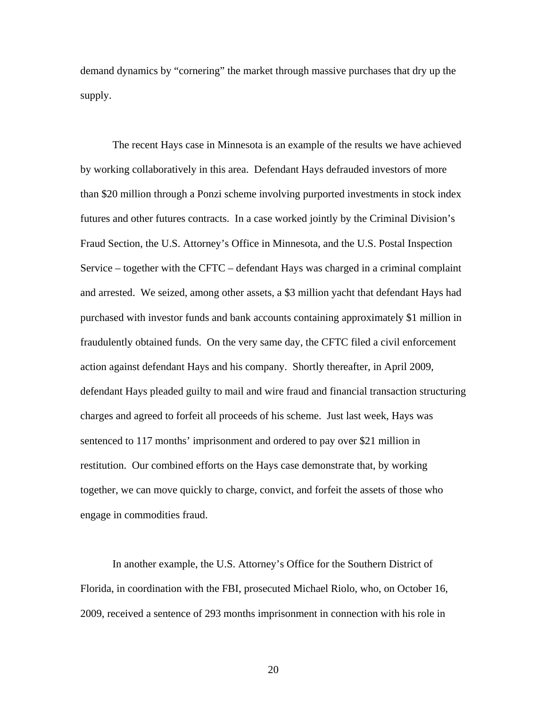demand dynamics by "cornering" the market through massive purchases that dry up the supply.

The recent Hays case in Minnesota is an example of the results we have achieved by working collaboratively in this area. Defendant Hays defrauded investors of more than \$20 million through a Ponzi scheme involving purported investments in stock index futures and other futures contracts. In a case worked jointly by the Criminal Division's Fraud Section, the U.S. Attorney's Office in Minnesota, and the U.S. Postal Inspection Service – together with the CFTC – defendant Hays was charged in a criminal complaint and arrested. We seized, among other assets, a \$3 million yacht that defendant Hays had purchased with investor funds and bank accounts containing approximately \$1 million in fraudulently obtained funds. On the very same day, the CFTC filed a civil enforcement action against defendant Hays and his company. Shortly thereafter, in April 2009, defendant Hays pleaded guilty to mail and wire fraud and financial transaction structuring charges and agreed to forfeit all proceeds of his scheme. Just last week, Hays was sentenced to 117 months' imprisonment and ordered to pay over \$21 million in restitution. Our combined efforts on the Hays case demonstrate that, by working together, we can move quickly to charge, convict, and forfeit the assets of those who engage in commodities fraud.

In another example, the U.S. Attorney's Office for the Southern District of Florida, in coordination with the FBI, prosecuted Michael Riolo, who, on October 16, 2009, received a sentence of 293 months imprisonment in connection with his role in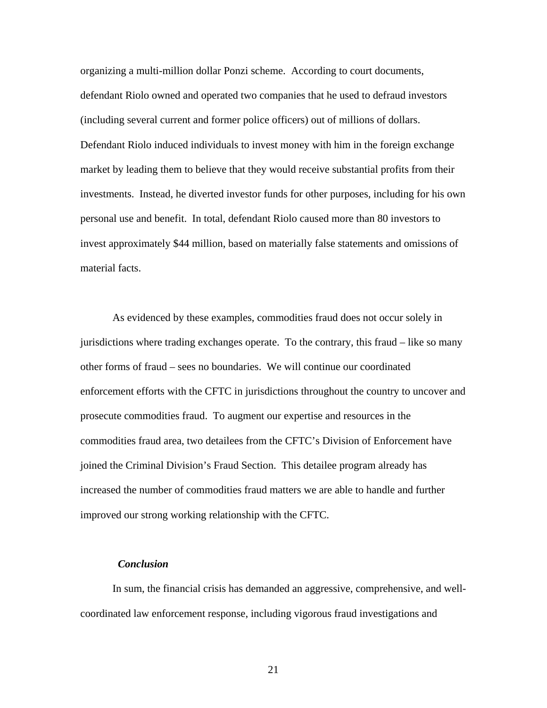organizing a multi-million dollar Ponzi scheme. According to court documents, defendant Riolo owned and operated two companies that he used to defraud investors (including several current and former police officers) out of millions of dollars. Defendant Riolo induced individuals to invest money with him in the foreign exchange market by leading them to believe that they would receive substantial profits from their investments. Instead, he diverted investor funds for other purposes, including for his own personal use and benefit. In total, defendant Riolo caused more than 80 investors to invest approximately \$44 million, based on materially false statements and omissions of material facts.

As evidenced by these examples, commodities fraud does not occur solely in jurisdictions where trading exchanges operate. To the contrary, this fraud – like so many other forms of fraud – sees no boundaries. We will continue our coordinated enforcement efforts with the CFTC in jurisdictions throughout the country to uncover and prosecute commodities fraud. To augment our expertise and resources in the commodities fraud area, two detailees from the CFTC's Division of Enforcement have joined the Criminal Division's Fraud Section. This detailee program already has increased the number of commodities fraud matters we are able to handle and further improved our strong working relationship with the CFTC.

# *Conclusion*

In sum, the financial crisis has demanded an aggressive, comprehensive, and wellcoordinated law enforcement response, including vigorous fraud investigations and